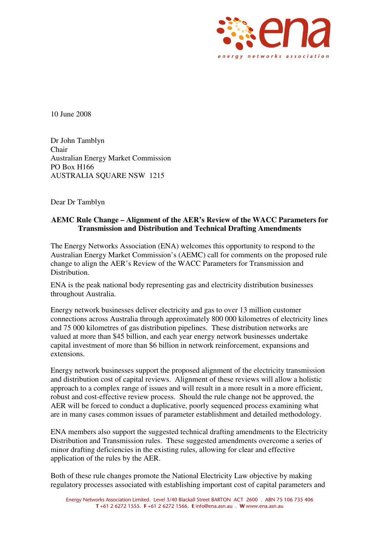

10 June 2008

Dr John Tamblyn Chair Australian Energy Market Commission PO Box H166 AUSTRALIA SQUARE NSW 1215

Dear Dr Tamblyn

## **AEMC Rule Change – Alignment of the AER's Review of the WACC Parameters for Transmission and Distribution and Technical Drafting Amendments**

The Energy Networks Association (ENA) welcomes this opportunity to respond to the Australian Energy Market Commission's (AEMC) call for comments on the proposed rule change to align the AER's Review of the WACC Parameters for Transmission and Distribution.

ENA is the peak national body representing gas and electricity distribution businesses throughout Australia.

Energy network businesses deliver electricity and gas to over 13 million customer connections across Australia through approximately 800 000 kilometres of electricity lines and 75 000 kilometres of gas distribution pipelines. These distribution networks are valued at more than \$45 billion, and each year energy network businesses undertake capital investment of more than \$6 billion in network reinforcement, expansions and extensions.

Energy network businesses support the proposed alignment of the electricity transmission and distribution cost of capital reviews. Alignment of these reviews will allow a holistic approach to a complex range of issues and will result in a more result in a more efficient, robust and cost-effective review process. Should the rule change not be approved, the AER will be forced to conduct a duplicative, poorly sequenced process examining what are in many cases common issues of parameter establishment and detailed methodology.

ENA members also support the suggested technical drafting amendments to the Electricity Distribution and Transmission rules. These suggested amendments overcome a series of minor drafting deficiencies in the existing rules, allowing for clear and effective application of the rules by the AER.

Both of these rule changes promote the National Electricity Law objective by making regulatory processes associated with establishing important cost of capital parameters and